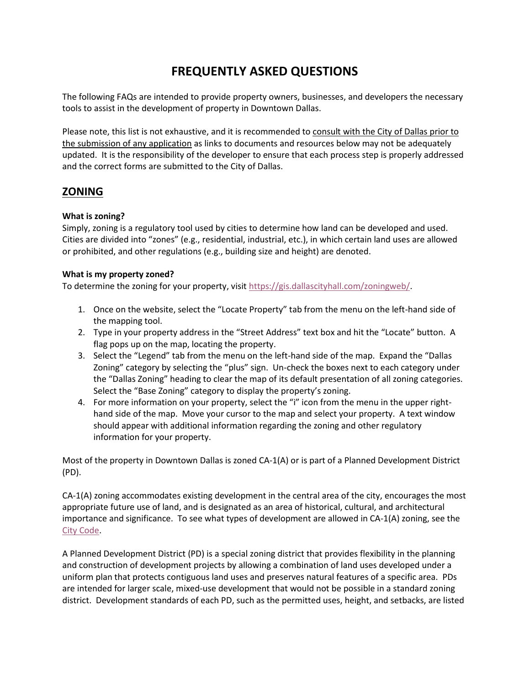# **FREQUENTLY ASKED QUESTIONS**

The following FAQs are intended to provide property owners, businesses, and developers the necessary tools to assist in the development of property in Downtown Dallas.

Please note, this list is not exhaustive, and it is recommended to consult with the City of Dallas prior to the submission of any application as links to documents and resources below may not be adequately updated. It is the responsibility of the developer to ensure that each process step is properly addressed and the correct forms are submitted to the City of Dallas.

# **ZONING**

# **What is zoning?**

Simply, zoning is a regulatory tool used by cities to determine how land can be developed and used. Cities are divided into "zones" (e.g., residential, industrial, etc.), in which certain land uses are allowed or prohibited, and other regulations (e.g., building size and height) are denoted.

# **What is my property zoned?**

To determine the zoning for your property, visi[t https://gis.dallascityhall.com/zoningweb/.](https://gis.dallascityhall.com/zoningweb/)

- 1. Once on the website, select the "Locate Property" tab from the menu on the left-hand side of the mapping tool.
- 2. Type in your property address in the "Street Address" text box and hit the "Locate" button. A flag pops up on the map, locating the property.
- 3. Select the "Legend" tab from the menu on the left-hand side of the map. Expand the "Dallas Zoning" category by selecting the "plus" sign. Un-check the boxes next to each category under the "Dallas Zoning" heading to clear the map of its default presentation of all zoning categories. Select the "Base Zoning" category to display the property's zoning.
- 4. For more information on your property, select the "i" icon from the menu in the upper righthand side of the map. Move your cursor to the map and select your property. A text window should appear with additional information regarding the zoning and other regulatory information for your property.

Most of the property in Downtown Dallas is zoned CA-1(A) or is part of a Planned Development District (PD).

CA-1(A) zoning accommodates existing development in the central area of the city, encourages the most appropriate future use of land, and is designated as an area of historical, cultural, and architectural importance and significance. To see what types of development are allowed in CA-1(A) zoning, see the [City Code.](http://library.amlegal.com/nxt/gateway.dll/Texas/dallas/cityofdallastexascodeofordinances/volumeiii/chapter51adallasdevelopmentcodeordinance/articleivzoningregulations?f=templates$fn=default.htm$3.0$vid=amlegal:dallas_tx$anc=JD_51A-4.124)

A Planned Development District (PD) is a special zoning district that provides flexibility in the planning and construction of development projects by allowing a combination of land uses developed under a uniform plan that protects contiguous land uses and preserves natural features of a specific area. PDs are intended for larger scale, mixed-use development that would not be possible in a standard zoning district. Development standards of each PD, such as the permitted uses, height, and setbacks, are listed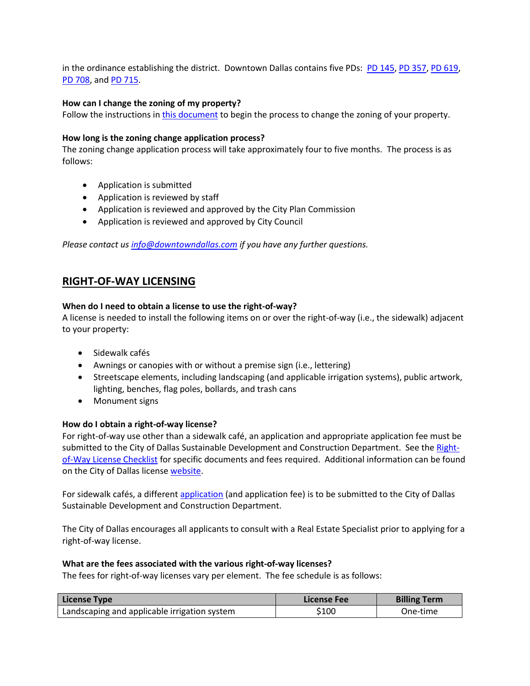in the ordinance establishing the district. Downtown Dallas contains five PDs: [PD 145,](http://dallascityattorney.com/51P/Articles%20Supp%2026/Article%20145.pdf) [PD 357,](http://dallascityattorney.com/51P/Articles%20Supp%2049/ARTICLE%20357.pdf) [PD 619,](http://dallascityattorney.com/51P/Articles%20Supp%2034/Article%20619.pdf) [PD 708,](http://dallascityattorney.com/51P/Articles%20Supp%2026/Article%20708.pdf) and [PD 715.](http://dallascityattorney.com/51P/Articles%20Supp%206/ARTICLE%20715.pdf)

#### **How can I change the zoning of my property?**

Follow the instructions i[n this document](https://dallascityhall.com/departments/sustainabledevelopment/planning/DCH%20Documents/April_2019_combined.pdf) to begin the process to change the zoning of your property.

#### **How long is the zoning change application process?**

The zoning change application process will take approximately four to five months. The process is as follows:

- Application is submitted
- Application is reviewed by staff
- Application is reviewed and approved by the City Plan Commission
- Application is reviewed and approved by City Council

*Please contact u[s info@downtowndallas.com](mailto:info@downtowndallas.com) if you have any further questions.* 

# **RIGHT-OF-WAY LICENSING**

#### **When do I need to obtain a license to use the right-of-way?**

A license is needed to install the following items on or over the right-of-way (i.e., the sidewalk) adjacent to your property:

- **•** Sidewalk cafés
- Awnings or canopies with or without a premise sign (i.e., lettering)
- Streetscape elements, including landscaping (and applicable irrigation systems), public artwork, lighting, benches, flag poles, bollards, and trash cans
- Monument signs

### **How do I obtain a right-of-way license?**

For right-of-way use other than a sidewalk café, an application and appropriate application fee must be submitted to the City of Dallas Sustainable Development and Construction Department. See the [Right](https://dallascityhall.com/departments/sustainabledevelopment/realestate/DCH%20Documents/ROW_License_Checklist_Revised_3-01-19.pdf)[of-Way License Checklist](https://dallascityhall.com/departments/sustainabledevelopment/realestate/DCH%20Documents/ROW_License_Checklist_Revised_3-01-19.pdf) for specific documents and fees required. Additional information can be found on the City of Dallas license [website.](https://dallascityhall.com/departments/sustainabledevelopment/realestate/Pages/Licenses.aspx)

For sidewalk cafés, a different [application](https://dallascityhall.com/departments/sustainabledevelopment/realestate/DCH%20Documents/Sidewalk_cafe_fast_track_application_11-30-2017.pdf) (and application fee) is to be submitted to the City of Dallas Sustainable Development and Construction Department.

The City of Dallas encourages all applicants to consult with a Real Estate Specialist prior to applying for a right-of-way license.

#### **What are the fees associated with the various right-of-way licenses?**

The fees for right-of-way licenses vary per element. The fee schedule is as follows:

| License Type                                 | License Fee | <b>Billing Term</b> |
|----------------------------------------------|-------------|---------------------|
| Landscaping and applicable irrigation system | \$100       | One-time            |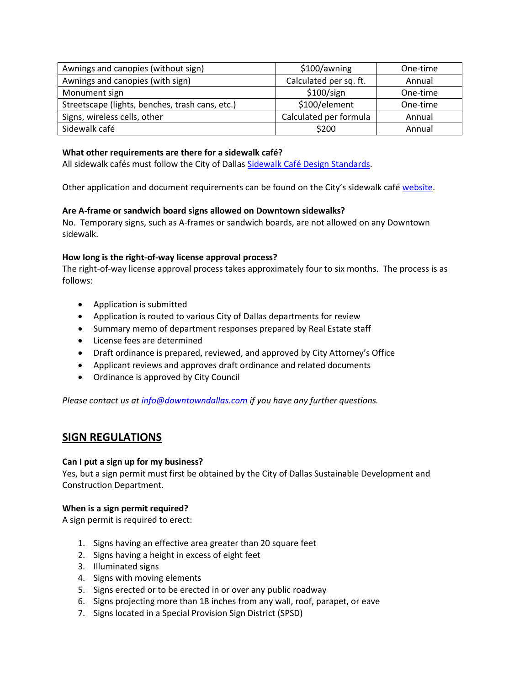| Awnings and canopies (without sign)             | \$100/awning           | One-time |
|-------------------------------------------------|------------------------|----------|
| Awnings and canopies (with sign)                | Calculated per sq. ft. | Annual   |
| Monument sign                                   | \$100/sign             | One-time |
| Streetscape (lights, benches, trash cans, etc.) | \$100/element          | One-time |
| Signs, wireless cells, other                    | Calculated per formula | Annual   |
| Sidewalk café                                   | \$200                  | Annual   |

# **What other requirements are there for a sidewalk café?**

All sidewalk cafés must follow the City of Dallas Sidewalk [Café Design Standards.](https://dallascityhall.com/departments/pnv/Documents/Standards.pdf)

Other application and document requirements can be found on the City's sidewalk café [website.](https://dallascityhall.com/departments/sustainabledevelopment/realestate/Pages/sidewalk-cafe.aspx)

### **Are A-frame or sandwich board signs allowed on Downtown sidewalks?**

No. Temporary signs, such as A-frames or sandwich boards, are not allowed on any Downtown sidewalk.

### **How long is the right-of-way license approval process?**

The right-of-way license approval process takes approximately four to six months. The process is as follows:

- Application is submitted
- Application is routed to various City of Dallas departments for review
- Summary memo of department responses prepared by Real Estate staff
- License fees are determined
- Draft ordinance is prepared, reviewed, and approved by City Attorney's Office
- Applicant reviews and approves draft ordinance and related documents
- Ordinance is approved by City Council

*Please contact us at [info@downtowndallas.com](mailto:info@downtowndallas.com) if you have any further questions.* 

# **SIGN REGULATIONS**

### **Can I put a sign up for my business?**

Yes, but a sign permit must first be obtained by the City of Dallas Sustainable Development and Construction Department.

#### **When is a sign permit required?**

A sign permit is required to erect:

- 1. Signs having an effective area greater than 20 square feet
- 2. Signs having a height in excess of eight feet
- 3. Illuminated signs
- 4. Signs with moving elements
- 5. Signs erected or to be erected in or over any public roadway
- 6. Signs projecting more than 18 inches from any wall, roof, parapet, or eave
- 7. Signs located in a Special Provision Sign District (SPSD)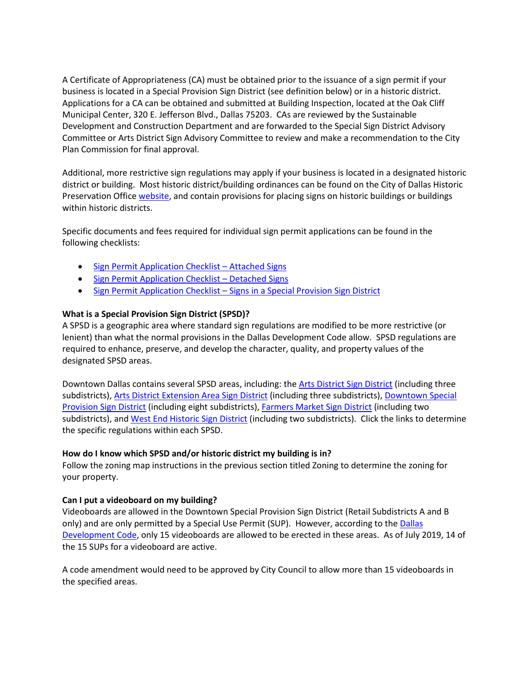A Certificate of Appropriateness (CA) must be obtained prior to the issuance of a sign permit if your business is located in a Special Provision Sign District (see definition below) or in a historic district. Applications for a CA can be obtained and submitted at Building Inspection, located at the Oak Cliff Municipal Center, 320 E. Jefferson Blvd., Dallas 75203. CAs are reviewed by the Sustainable Development and Construction Department and are forwarded to the Special Sign District Advisory Committee or Arts District Sign Advisory Committee to review and make a recommendation to the City Plan Commission for final approval.

Additional, more restrictive sign regulations may apply if your business is located in a designated historic district or building. Most historic district/building ordinances can be found on the City of Dallas Historic Preservation Office [website,](https://dallascityhall.com/departments/sustainabledevelopment/historicpreservation/Pages/landmark_districts.aspx) and contain provisions for placing signs on historic buildings or buildings within historic districts.

Specific documents and fees required for individual sign permit applications can be found in the following checklists:

- **[Sign Permit Application Checklist](https://dallascityhall.com/departments/sustainabledevelopment/buildinginspection/DCH%20documents/pdf/BI_SignAttached.pdf)  Attached Signs**
- **[Sign Permit Application Checklist](https://dallascityhall.com/departments/sustainabledevelopment/buildinginspection/DCH%20documents/pdf/BI_SignDetatched.pdf)  Detached Signs**
- Sign Permit Application Checklist [Signs in a Special Provision Sign District](https://dallascityhall.com/departments/sustainabledevelopment/buildinginspection/DCH%20documents/pdf/BI_SignSPSDChecklist.pdf)

### **What is a Special Provision Sign District (SPSD)?**

A SPSD is a geographic area where standard sign regulations are modified to be more restrictive (or lenient) than what the normal provisions in the Dallas Development Code allow. SPSD regulations are required to enhance, preserve, and develop the character, quality, and property values of the designated SPSD areas.

Downtown Dallas contains several SPSD areas, including: th[e Arts District Sign District](http://library.amlegal.com/nxt/gateway.dll/Texas/dallas/cityofdallastexascodeofordinances/volumeiii/chapter51adallasdevelopmentcodeordinance/articleviisignregulations?f=templates$fn=default.htm$3.0$vid=amlegal:dallas_tx$anc=JD_51A-7.1200) (including three subdistricts)[, Arts District Extension Area Sign District](http://library.amlegal.com/nxt/gateway.dll/Texas/dallas/cityofdallastexascodeofordinances/volumeiii/chapter51adallasdevelopmentcodeordinance/articleviisignregulations?f=templates$fn=default.htm$3.0$vid=amlegal:dallas_tx$anc=JD_51A-7.2100) (including three subdistricts), Downtown Special [Provision Sign District](http://library.amlegal.com/nxt/gateway.dll/Texas/dallas/cityofdallastexascodeofordinances/volumeiii/chapter51adallasdevelopmentcodeordinance/articleviisignregulations?f=templates$fn=default.htm$3.0$vid=amlegal:dallas_tx$anc=JD_51A-7.900) (including eight subdistricts), [Farmers Market Sign District](http://library.amlegal.com/nxt/gateway.dll/Texas/dallas/cityofdallastexascodeofordinances/volumeiii/chapter51adallasdevelopmentcodeordinance/articleviisignregulations?f=templates$fn=default.htm$3.0$vid=amlegal:dallas_tx$anc=JD_51A-7.1600) (including two subdistricts), and [West End Historic Sign District](http://library.amlegal.com/nxt/gateway.dll/Texas/dallas/cityofdallastexascodeofordinances/volumeiii/chapter51adallasdevelopmentcodeordinance/articleviisignregulations?f=templates$fn=default.htm$3.0$vid=amlegal:dallas_tx$anc=JD_51A-7.1000) (including two subdistricts). Click the links to determine the specific regulations within each SPSD.

#### **How do I know which SPSD and/or historic district my building is in?**

Follow the zoning map instructions in the previous section titled Zoning to determine the zoning for your property.

#### **Can I put a videoboard on my building?**

Videoboards are allowed in the Downtown Special Provision Sign District (Retail Subdistricts A and B only) and are only permitted by a Special Use Permit (SUP). However, according to the Dallas [Development Code,](http://library.amlegal.com/nxt/gateway.dll/Texas/dallas/cityofdallastexascodeofordinances/volumeiii/chapter51adallasdevelopmentcodeordinance/articleviisignregulations?f=templates$fn=default.htm$3.0$vid=amlegal:dallas_tx$anc=JD_51A-7.909) only 15 videoboards are allowed to be erected in these areas. As of July 2019, 14 of the 15 SUPs for a videoboard are active.

A code amendment would need to be approved by City Council to allow more than 15 videoboards in the specified areas.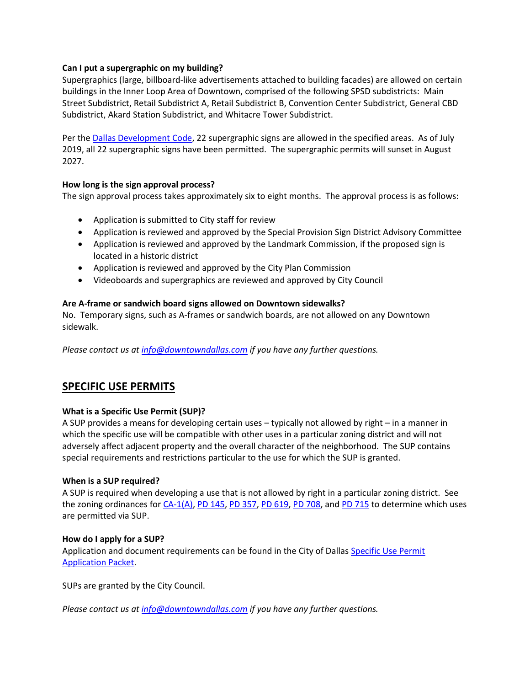### **Can I put a supergraphic on my building?**

Supergraphics (large, billboard-like advertisements attached to building facades) are allowed on certain buildings in the Inner Loop Area of Downtown, comprised of the following SPSD subdistricts: Main Street Subdistrict, Retail Subdistrict A, Retail Subdistrict B, Convention Center Subdistrict, General CBD Subdistrict, Akard Station Subdistrict, and Whitacre Tower Subdistrict.

Per the [Dallas Development Code,](http://library.amlegal.com/nxt/gateway.dll/Texas/dallas/cityofdallastexascodeofordinances/volumeiii/chapter51adallasdevelopmentcodeordinance/articleviisignregulations?f=templates$fn=default.htm$3.0$vid=amlegal:dallas_tx$anc=JD_51A-7.930) 22 supergraphic signs are allowed in the specified areas. As of July 2019, all 22 supergraphic signs have been permitted. The supergraphic permits will sunset in August 2027.

#### **How long is the sign approval process?**

The sign approval process takes approximately six to eight months. The approval process is as follows:

- Application is submitted to City staff for review
- Application is reviewed and approved by the Special Provision Sign District Advisory Committee
- Application is reviewed and approved by the Landmark Commission, if the proposed sign is located in a historic district
- Application is reviewed and approved by the City Plan Commission
- Videoboards and supergraphics are reviewed and approved by City Council

#### **Are A-frame or sandwich board signs allowed on Downtown sidewalks?**

No. Temporary signs, such as A-frames or sandwich boards, are not allowed on any Downtown sidewalk.

*Please contact us at [info@downtowndallas.com](mailto:info@downtowndallas.com) if you have any further questions.* 

# **SPECIFIC USE PERMITS**

### **What is a Specific Use Permit (SUP)?**

A SUP provides a means for developing certain uses – typically not allowed by right – in a manner in which the specific use will be compatible with other uses in a particular zoning district and will not adversely affect adjacent property and the overall character of the neighborhood. The SUP contains special requirements and restrictions particular to the use for which the SUP is granted.

#### **When is a SUP required?**

A SUP is required when developing a use that is not allowed by right in a particular zoning district. See the zoning ordinances fo[r CA-1\(A\),](http://library.amlegal.com/nxt/gateway.dll/Texas/dallas/cityofdallastexascodeofordinances/volumeiii/chapter51adallasdevelopmentcodeordinance/articleivzoningregulations?f=templates$fn=default.htm$3.0$vid=amlegal:dallas_tx$anc=JD_51A-4.124) [PD 145,](http://dallascityattorney.com/51P/Articles%20Supp%2026/Article%20145.pdf) [PD 357,](http://dallascityattorney.com/51P/Articles%20Supp%2049/ARTICLE%20357.pdf) [PD 619,](http://dallascityattorney.com/51P/Articles%20Supp%2034/Article%20619.pdf) [PD 708,](http://dallascityattorney.com/51P/Articles%20Supp%2026/Article%20708.pdf) and [PD 715](http://dallascityattorney.com/51P/Articles%20Supp%206/ARTICLE%20715.pdf) to determine which uses are permitted via SUP.

#### **How do I apply for a SUP?**

Application and document requirements can be found in the City of Dalla[s Specific Use Permit](https://dallascityhall.com/departments/sustainabledevelopment/planning/DCH%20Documents/Specific%20Use%20Permit%20Application%20Packet.pdf)  [Application Packet.](https://dallascityhall.com/departments/sustainabledevelopment/planning/DCH%20Documents/Specific%20Use%20Permit%20Application%20Packet.pdf)

SUPs are granted by the City Council.

*Please contact us a[t info@downtowndallas.com](mailto:info@downtowndallas.com) if you have any further questions.*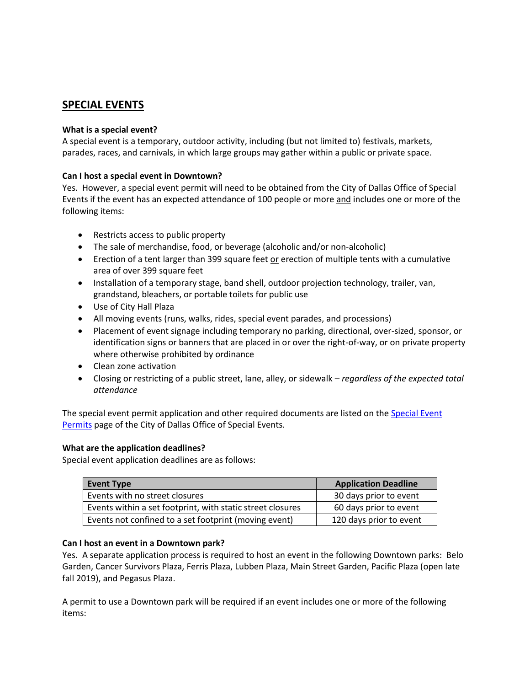# **SPECIAL EVENTS**

### **What is a special event?**

A special event is a temporary, outdoor activity, including (but not limited to) festivals, markets, parades, races, and carnivals, in which large groups may gather within a public or private space.

### **Can I host a special event in Downtown?**

Yes. However, a special event permit will need to be obtained from the City of Dallas Office of Special Events if the event has an expected attendance of 100 people or more and includes one or more of the following items:

- Restricts access to public property
- The sale of merchandise, food, or beverage (alcoholic and/or non-alcoholic)
- Erection of a tent larger than 399 square feet or erection of multiple tents with a cumulative area of over 399 square feet
- Installation of a temporary stage, band shell, outdoor projection technology, trailer, van, grandstand, bleachers, or portable toilets for public use
- Use of City Hall Plaza
- All moving events (runs, walks, rides, special event parades, and processions)
- Placement of event signage including temporary no parking, directional, over-sized, sponsor, or identification signs or banners that are placed in or over the right-of-way, or on private property where otherwise prohibited by ordinance
- Clean zone activation
- Closing or restricting of a public street, lane, alley, or sidewalk *regardless of the expected total attendance*

The special event permit application and other required documents are listed on the Special Event [Permits](https://www.dallasspecialevents.com/special-event/) page of the City of Dallas Office of Special Events.

### **What are the application deadlines?**

Special event application deadlines are as follows:

| <b>Event Type</b>                                          | <b>Application Deadline</b> |
|------------------------------------------------------------|-----------------------------|
| Events with no street closures                             | 30 days prior to event      |
| Events within a set footprint, with static street closures | 60 days prior to event      |
| Events not confined to a set footprint (moving event)      | 120 days prior to event     |

### **Can I host an event in a Downtown park?**

Yes. A separate application process is required to host an event in the following Downtown parks: Belo Garden, Cancer Survivors Plaza, Ferris Plaza, Lubben Plaza, Main Street Garden, Pacific Plaza (open late fall 2019), and Pegasus Plaza.

A permit to use a Downtown park will be required if an event includes one or more of the following items: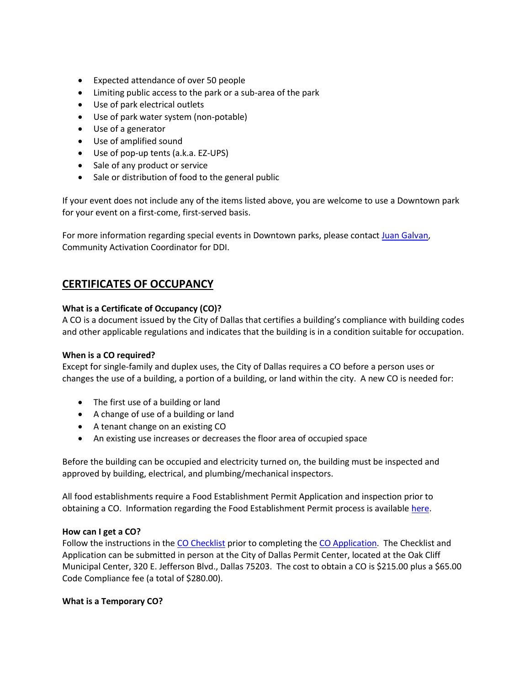- Expected attendance of over 50 people
- Limiting public access to the park or a sub-area of the park
- Use of park electrical outlets
- Use of park water system (non-potable)
- Use of a generator
- Use of amplified sound
- Use of pop-up tents (a.k.a. EZ-UPS)
- Sale of any product or service
- Sale or distribution of food to the general public

If your event does not include any of the items listed above, you are welcome to use a Downtown park for your event on a first-come, first-served basis.

For more information regarding special events in Downtown parks, please contact [Juan Galvan,](mailto:galvan@downtowndallas.com) Community Activation Coordinator for DDI.

# **CERTIFICATES OF OCCUPANCY**

### **What is a Certificate of Occupancy (CO)?**

A CO is a document issued by the City of Dallas that certifies a building's compliance with building codes and other applicable regulations and indicates that the building is in a condition suitable for occupation.

#### **When is a CO required?**

Except for single-family and duplex uses, the City of Dallas requires a CO before a person uses or changes the use of a building, a portion of a building, or land within the city. A new CO is needed for:

- The first use of a building or land
- A change of use of a building or land
- A tenant change on an existing CO
- An existing use increases or decreases the floor area of occupied space

Before the building can be occupied and electricity turned on, the building must be inspected and approved by building, electrical, and plumbing/mechanical inspectors.

All food establishments require a Food Establishment Permit Application and inspection prior to obtaining a CO. Information regarding the Food Establishment Permit process is available [here.](https://dallascityhall.com/departments/codecompliance/Admin1/ApplyforaPermit/Pages/FoodEstablishment.aspx)

### **How can I get a CO?**

Follow the instructions in the [CO Checklist](https://dallascityhall.com/departments/sustainabledevelopment/buildinginspection/DCH%20documents/pdf/BI_CertOfOccupancy_05-30-2017.pdf) prior to completing the [CO Application.](https://dallascityhall.com/departments/sustainabledevelopment/buildinginspection/DCH%20documents/pdf/BI_CO%20Application_05-30-2017.pdf) The Checklist and Application can be submitted in person at the City of Dallas Permit Center, located at the Oak Cliff Municipal Center, 320 E. Jefferson Blvd., Dallas 75203. The cost to obtain a CO is \$215.00 plus a \$65.00 Code Compliance fee (a total of \$280.00).

### **What is a Temporary CO?**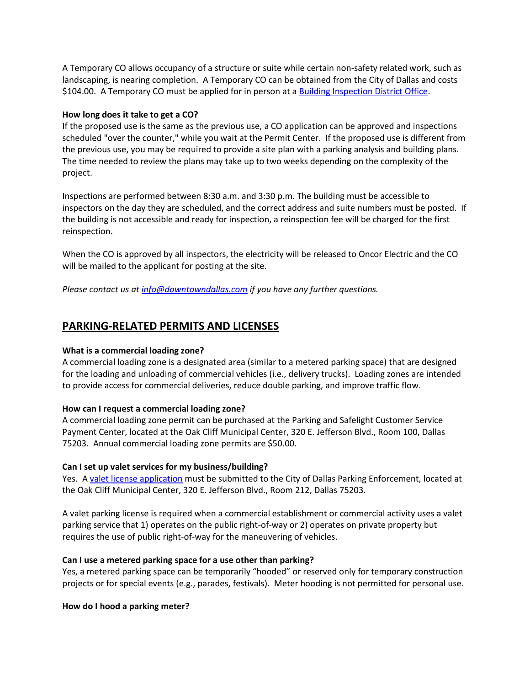A Temporary CO allows occupancy of a structure or suite while certain non-safety related work, such as landscaping, is nearing completion. A Temporary CO can be obtained from the City of Dallas and costs \$104.00. A Temporary CO must be applied for in person at [a Building Inspection District Office.](https://dallascityhall.com/departments/sustainabledevelopment/buildinginspection/Pages/contacts_locations.aspx)

#### **How long does it take to get a CO?**

If the proposed use is the same as the previous use, a CO application can be approved and inspections scheduled "over the counter," while you wait at the Permit Center. If the proposed use is different from the previous use, you may be required to provide a site plan with a parking analysis and building plans. The time needed to review the plans may take up to two weeks depending on the complexity of the project.

Inspections are performed between 8:30 a.m. and 3:30 p.m. The building must be accessible to inspectors on the day they are scheduled, and the correct address and suite numbers must be posted. If the building is not accessible and ready for inspection, a reinspection fee will be charged for the first reinspection.

When the CO is approved by all inspectors, the electricity will be released to Oncor Electric and the CO will be mailed to the applicant for posting at the site.

*Please contact us at [info@downtowndallas.com](mailto:info@downtowndallas.com) if you have any further questions.* 

# **PARKING-RELATED PERMITS AND LICENSES**

### **What is a commercial loading zone?**

A commercial loading zone is a designated area (similar to a metered parking space) that are designed for the loading and unloading of commercial vehicles (i.e., delivery trucks). Loading zones are intended to provide access for commercial deliveries, reduce double parking, and improve traffic flow.

### **How can I request a commercial loading zone?**

A commercial loading zone permit can be purchased at the Parking and Safelight Customer Service Payment Center, located at the Oak Cliff Municipal Center, 320 E. Jefferson Blvd., Room 100, Dallas 75203. Annual commercial loading zone permits are \$50.00.

### **Can I set up valet services for my business/building?**

Yes. [A valet license application](https://dallascityhall.com/departments/transportation/DCH%20Documents/Parking_RedLight/Valet-License-Application.docx?Web=1) must be submitted to the City of Dallas Parking Enforcement, located at the Oak Cliff Municipal Center, 320 E. Jefferson Blvd., Room 212, Dallas 75203.

A valet parking license is required when a commercial establishment or commercial activity uses a valet parking service that 1) operates on the public right-of-way or 2) operates on private property but requires the use of public right-of-way for the maneuvering of vehicles.

### **Can I use a metered parking space for a use other than parking?**

Yes, a metered parking space can be temporarily "hooded" or reserved only for temporary construction projects or for special events (e.g., parades, festivals). Meter hooding is not permitted for personal use.

# **How do I hood a parking meter?**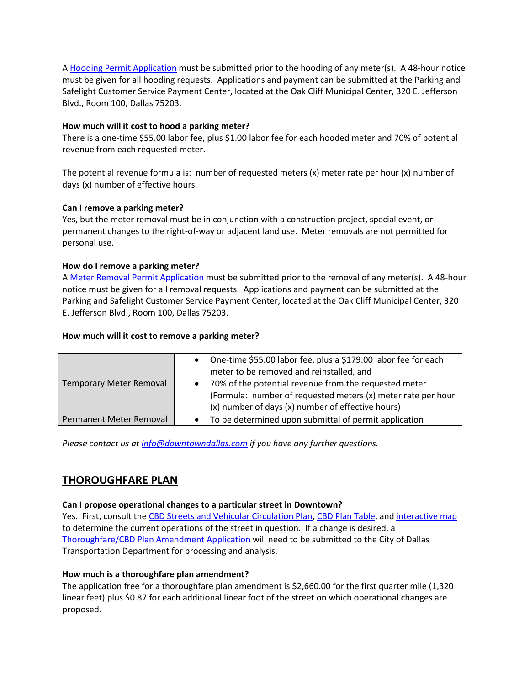A [Hooding Permit Application](https://dallascityhall.com/departments/transportation/DCH%20Documents/Parking_RedLight/Hooding-Permit-Application.pdf) must be submitted prior to the hooding of any meter(s). A 48-hour notice must be given for all hooding requests. Applications and payment can be submitted at the Parking and Safelight Customer Service Payment Center, located at the Oak Cliff Municipal Center, 320 E. Jefferson Blvd., Room 100, Dallas 75203.

### **How much will it cost to hood a parking meter?**

There is a one-time \$55.00 labor fee, plus \$1.00 labor fee for each hooded meter and 70% of potential revenue from each requested meter.

The potential revenue formula is: number of requested meters (x) meter rate per hour (x) number of days (x) number of effective hours.

# **Can I remove a parking meter?**

Yes, but the meter removal must be in conjunction with a construction project, special event, or permanent changes to the right-of-way or adjacent land use. Meter removals are not permitted for personal use.

# **How do I remove a parking meter?**

A [Meter Removal Permit Application](https://dallascityhall.com/departments/transportation/DCH%20Documents/Parking_RedLight/Meter-Removal-Permit-Application.pdf) must be submitted prior to the removal of any meter(s). A 48-hour notice must be given for all removal requests. Applications and payment can be submitted at the Parking and Safelight Customer Service Payment Center, located at the Oak Cliff Municipal Center, 320 E. Jefferson Blvd., Room 100, Dallas 75203.

# **How much will it cost to remove a parking meter?**

| One-time \$55.00 labor fee, plus a \$179.00 labor fee for each<br>$\bullet$<br>meter to be removed and reinstalled, and<br>70% of the potential revenue from the requested meter<br>$\bullet$<br>(Formula: number of requested meters (x) meter rate per hour<br>(x) number of days (x) number of effective hours) |
|--------------------------------------------------------------------------------------------------------------------------------------------------------------------------------------------------------------------------------------------------------------------------------------------------------------------|
|                                                                                                                                                                                                                                                                                                                    |
| To be determined upon submittal of permit application                                                                                                                                                                                                                                                              |
| Permanent Meter Removal                                                                                                                                                                                                                                                                                            |

*Please contact us at [info@downtowndallas.com](mailto:info@downtowndallas.com) if you have any further questions.* 

# **THOROUGHFARE PLAN**

### **Can I propose operational changes to a particular street in Downtown?**

Yes. First, consult the [CBD Streets and Vehicular Circulation Plan,](https://dallascityhall.com/departments/transportation/DCH%20Documents/Transportation_Planning/pdf/DALLAS_CBD_PLAN.pdf) [CBD Plan Table,](https://dallascityhall.com/departments/transportation/DCH%20Documents/Transportation_Planning/pdf/2018-11_CBD_Plan_Table.pdf) and [interactive map](https://gis.dallascityhall.com/thoroughfare/) to determine the current operations of the street in question. If a change is desired, a [Thoroughfare/CBD Plan Amendment Application](https://dallascityhall.com/departments/transportation/DCH%20Documents/Transportation_Planning/pdf/Thoroughfare_CBD_Plan_Application.pdf) will need to be submitted to the City of Dallas Transportation Department for processing and analysis.

# **How much is a thoroughfare plan amendment?**

The application free for a thoroughfare plan amendment is \$2,660.00 for the first quarter mile (1,320 linear feet) plus \$0.87 for each additional linear foot of the street on which operational changes are proposed.